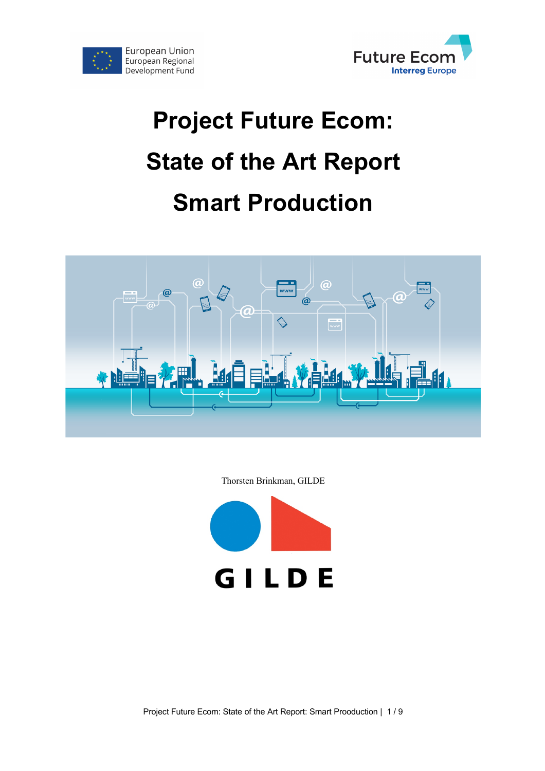



# **Project Future Ecom: State of the Art Report Smart Production**



Thorsten Brinkman, GILDE

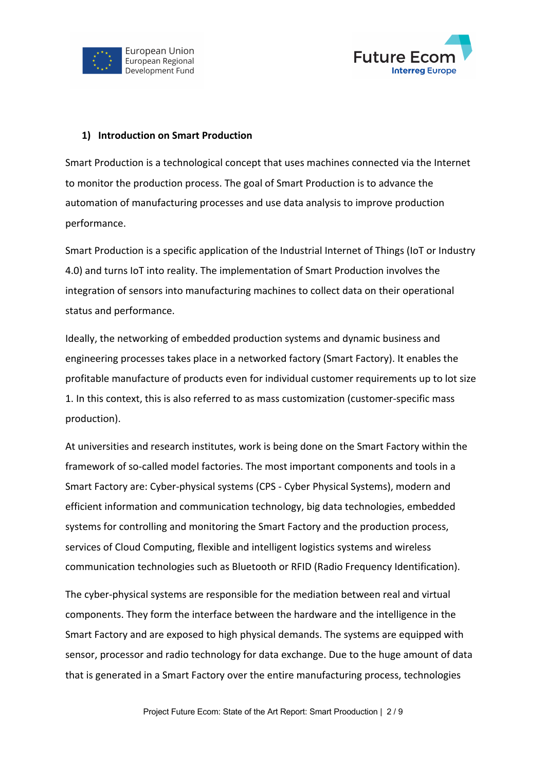



#### **1) Introduction on Smart Production**

Smart Production is a technological concept that uses machines connected via the Internet to monitor the production process. The goal of Smart Production is to advance the automation of manufacturing processes and use data analysis to improve production performance.

Smart Production is a specific application of the Industrial Internet of Things (IoT or Industry 4.0) and turns IoT into reality. The implementation of Smart Production involves the integration of sensors into manufacturing machines to collect data on their operational status and performance.

Ideally, the networking of embedded production systems and dynamic business and engineering processes takes place in a networked factory (Smart Factory). It enables the profitable manufacture of products even for individual customer requirements up to lot size 1. In this context, this is also referred to as mass customization (customer-specific mass production).

At universities and research institutes, work is being done on the Smart Factory within the framework of so-called model factories. The most important components and tools in a Smart Factory are: Cyber-physical systems (CPS - Cyber Physical Systems), modern and efficient information and communication technology, big data technologies, embedded systems for controlling and monitoring the Smart Factory and the production process, services of Cloud Computing, flexible and intelligent logistics systems and wireless communication technologies such as Bluetooth or RFID (Radio Frequency Identification).

The cyber-physical systems are responsible for the mediation between real and virtual components. They form the interface between the hardware and the intelligence in the Smart Factory and are exposed to high physical demands. The systems are equipped with sensor, processor and radio technology for data exchange. Due to the huge amount of data that is generated in a Smart Factory over the entire manufacturing process, technologies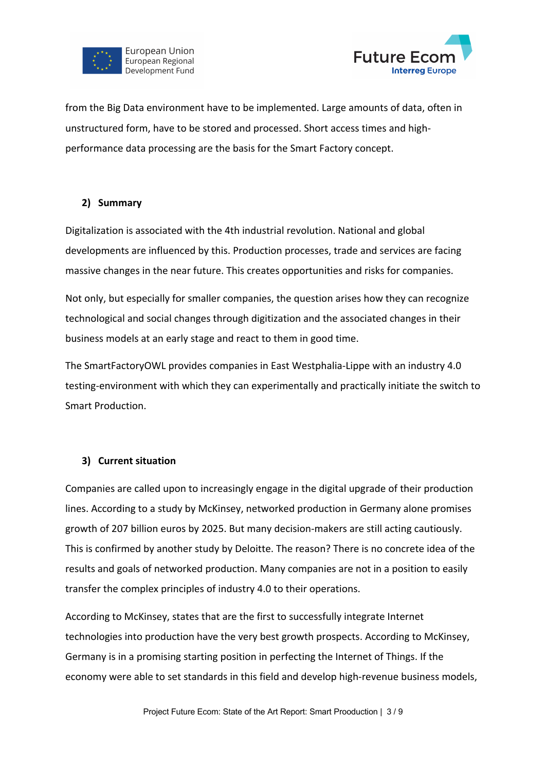



from the Big Data environment have to be implemented. Large amounts of data, often in unstructured form, have to be stored and processed. Short access times and highperformance data processing are the basis for the Smart Factory concept.

#### **2) Summary**

Digitalization is associated with the 4th industrial revolution. National and global developments are influenced by this. Production processes, trade and services are facing massive changes in the near future. This creates opportunities and risks for companies.

Not only, but especially for smaller companies, the question arises how they can recognize technological and social changes through digitization and the associated changes in their business models at an early stage and react to them in good time.

The SmartFactoryOWL provides companies in East Westphalia-Lippe with an industry 4.0 testing-environment with which they can experimentally and practically initiate the switch to Smart Production.

# **3) Current situation**

Companies are called upon to increasingly engage in the digital upgrade of their production lines. According to a study by McKinsey, networked production in Germany alone promises growth of 207 billion euros by 2025. But many decision-makers are still acting cautiously. This is confirmed by another study by Deloitte. The reason? There is no concrete idea of the results and goals of networked production. Many companies are not in a position to easily transfer the complex principles of industry 4.0 to their operations.

According to McKinsey, states that are the first to successfully integrate Internet technologies into production have the very best growth prospects. According to McKinsey, Germany is in a promising starting position in perfecting the Internet of Things. If the economy were able to set standards in this field and develop high-revenue business models,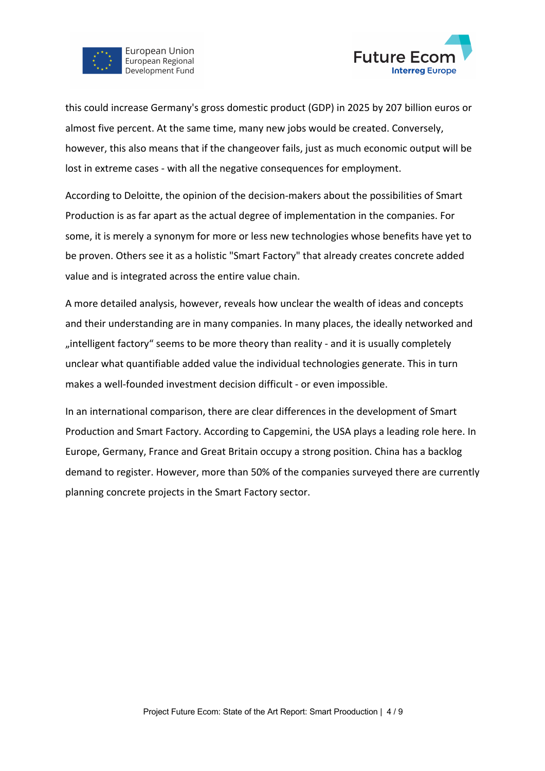

**Future Econ Interreg Europe** 

this could increase Germany's gross domestic product (GDP) in 2025 by 207 billion euros or almost five percent. At the same time, many new jobs would be created. Conversely, however, this also means that if the changeover fails, just as much economic output will be lost in extreme cases - with all the negative consequences for employment.

According to Deloitte, the opinion of the decision-makers about the possibilities of Smart Production is as far apart as the actual degree of implementation in the companies. For some, it is merely a synonym for more or less new technologies whose benefits have yet to be proven. Others see it as a holistic "Smart Factory" that already creates concrete added value and is integrated across the entire value chain.

A more detailed analysis, however, reveals how unclear the wealth of ideas and concepts and their understanding are in many companies. In many places, the ideally networked and "intelligent factory" seems to be more theory than reality - and it is usually completely unclear what quantifiable added value the individual technologies generate. This in turn makes a well-founded investment decision difficult - or even impossible.

In an international comparison, there are clear differences in the development of Smart Production and Smart Factory. According to Capgemini, the USA plays a leading role here. In Europe, Germany, France and Great Britain occupy a strong position. China has a backlog demand to register. However, more than 50% of the companies surveyed there are currently planning concrete projects in the Smart Factory sector.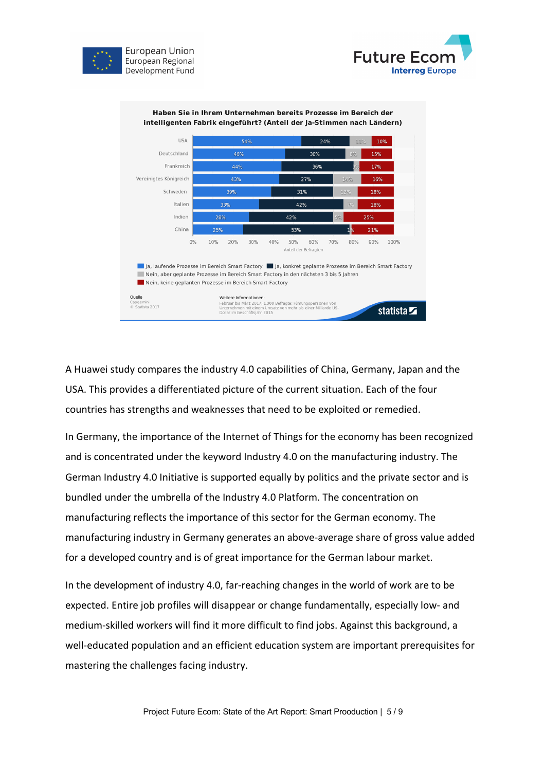





A Huawei study compares the industry 4.0 capabilities of China, Germany, Japan and the USA. This provides a differentiated picture of the current situation. Each of the four countries has strengths and weaknesses that need to be exploited or remedied.

In Germany, the importance of the Internet of Things for the economy has been recognized and is concentrated under the keyword Industry 4.0 on the manufacturing industry. The German Industry 4.0 Initiative is supported equally by politics and the private sector and is bundled under the umbrella of the Industry 4.0 Platform. The concentration on manufacturing reflects the importance of this sector for the German economy. The manufacturing industry in Germany generates an above-average share of gross value added for a developed country and is of great importance for the German labour market.

In the development of industry 4.0, far-reaching changes in the world of work are to be expected. Entire job profiles will disappear or change fundamentally, especially low- and medium-skilled workers will find it more difficult to find jobs. Against this background, a well-educated population and an efficient education system are important prerequisites for mastering the challenges facing industry.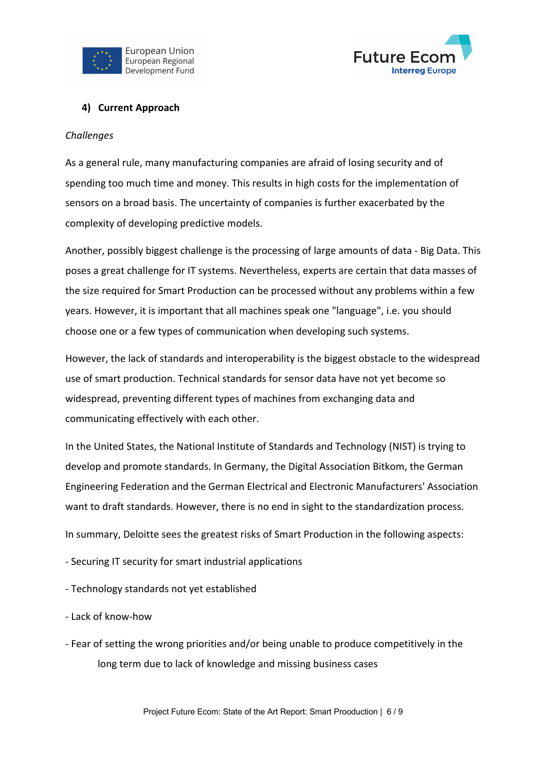



## **4) Current Approach**

#### *Challenges*

As a general rule, many manufacturing companies are afraid of losing security and of spending too much time and money. This results in high costs for the implementation of sensors on a broad basis. The uncertainty of companies is further exacerbated by the complexity of developing predictive models.

Another, possibly biggest challenge is the processing of large amounts of data - Big Data. This poses a great challenge for IT systems. Nevertheless, experts are certain that data masses of the size required for Smart Production can be processed without any problems within a few years. However, it is important that all machines speak one "language", i.e. you should choose one or a few types of communication when developing such systems.

However, the lack of standards and interoperability is the biggest obstacle to the widespread use of smart production. Technical standards for sensor data have not yet become so widespread, preventing different types of machines from exchanging data and communicating effectively with each other.

In the United States, the National Institute of Standards and Technology (NIST) is trying to develop and promote standards. In Germany, the Digital Association Bitkom, the German Engineering Federation and the German Electrical and Electronic Manufacturers' Association want to draft standards. However, there is no end in sight to the standardization process.

In summary, Deloitte sees the greatest risks of Smart Production in the following aspects:

- Securing IT security for smart industrial applications
- Technology standards not yet established
- Lack of know-how
- Fear of setting the wrong priorities and/or being unable to produce competitively in the long term due to lack of knowledge and missing business cases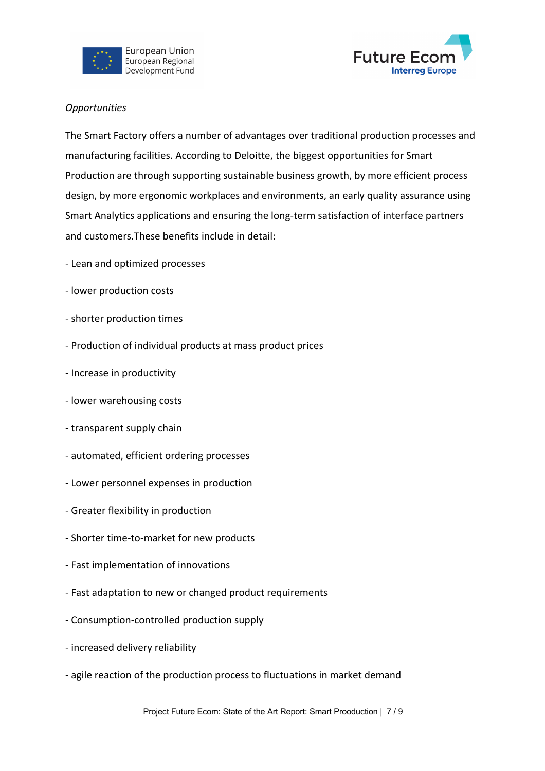



### *Opportunities*

The Smart Factory offers a number of advantages over traditional production processes and manufacturing facilities. According to Deloitte, the biggest opportunities for Smart Production are through supporting sustainable business growth, by more efficient process design, by more ergonomic workplaces and environments, an early quality assurance using Smart Analytics applications and ensuring the long-term satisfaction of interface partners and customers.These benefits include in detail:

- Lean and optimized processes
- lower production costs
- shorter production times
- Production of individual products at mass product prices
- Increase in productivity
- lower warehousing costs
- transparent supply chain
- automated, efficient ordering processes
- Lower personnel expenses in production
- Greater flexibility in production
- Shorter time-to-market for new products
- Fast implementation of innovations
- Fast adaptation to new or changed product requirements
- Consumption-controlled production supply
- increased delivery reliability
- agile reaction of the production process to fluctuations in market demand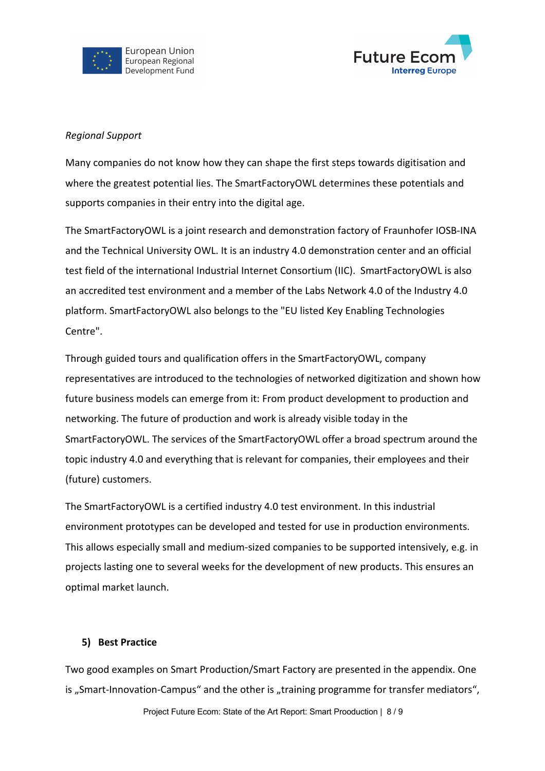



### *Regional Support*

Many companies do not know how they can shape the first steps towards digitisation and where the greatest potential lies. The SmartFactoryOWL determines these potentials and supports companies in their entry into the digital age.

The SmartFactoryOWL is a joint research and demonstration factory of Fraunhofer IOSB-INA and the Technical University OWL. It is an industry 4.0 demonstration center and an official test field of the international Industrial Internet Consortium (IIC). SmartFactoryOWL is also an accredited test environment and a member of the Labs Network 4.0 of the Industry 4.0 platform. SmartFactoryOWL also belongs to the "EU listed Key Enabling Technologies Centre".

Through guided tours and qualification offers in the SmartFactoryOWL, company representatives are introduced to the technologies of networked digitization and shown how future business models can emerge from it: From product development to production and networking. The future of production and work is already visible today in the SmartFactoryOWL. The services of the SmartFactoryOWL offer a broad spectrum around the topic industry 4.0 and everything that is relevant for companies, their employees and their (future) customers.

The SmartFactoryOWL is a certified industry 4.0 test environment. In this industrial environment prototypes can be developed and tested for use in production environments. This allows especially small and medium-sized companies to be supported intensively, e.g. in projects lasting one to several weeks for the development of new products. This ensures an optimal market launch.

# **5) Best Practice**

Two good examples on Smart Production/Smart Factory are presented in the appendix. One is "Smart-Innovation-Campus" and the other is "training programme for transfer mediators",

Project Future Ecom: State of the Art Report: Smart Prooduction | 8 / 9